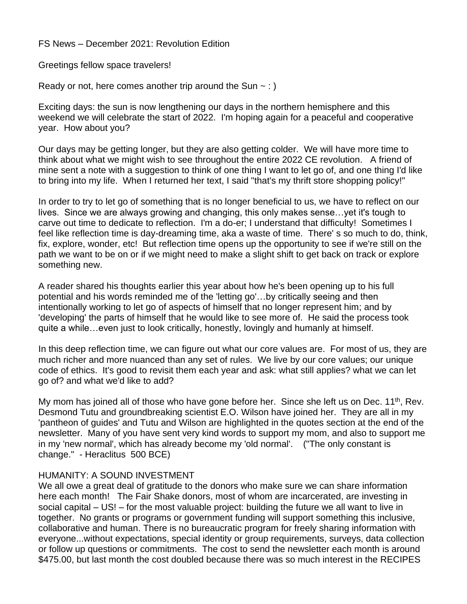FS News – December 2021: Revolution Edition

Greetings fellow space travelers!

Ready or not, here comes another trip around the Sun  $\sim$  : )

Exciting days: the sun is now lengthening our days in the northern hemisphere and this weekend we will celebrate the start of 2022. I'm hoping again for a peaceful and cooperative year. How about you?

Our days may be getting longer, but they are also getting colder. We will have more time to think about what we might wish to see throughout the entire 2022 CE revolution. A friend of mine sent a note with a suggestion to think of one thing I want to let go of, and one thing I'd like to bring into my life. When I returned her text, I said "that's my thrift store shopping policy!"

In order to try to let go of something that is no longer beneficial to us, we have to reflect on our lives. Since we are always growing and changing, this only makes sense…yet it's tough to carve out time to dedicate to reflection. I'm a do-er; I understand that difficulty! Sometimes I feel like reflection time is day-dreaming time, aka a waste of time. There' s so much to do, think, fix, explore, wonder, etc! But reflection time opens up the opportunity to see if we're still on the path we want to be on or if we might need to make a slight shift to get back on track or explore something new.

A reader shared his thoughts earlier this year about how he's been opening up to his full potential and his words reminded me of the 'letting go'…by critically seeing and then intentionally working to let go of aspects of himself that no longer represent him; and by 'developing' the parts of himself that he would like to see more of. He said the process took quite a while…even just to look critically, honestly, lovingly and humanly at himself.

In this deep reflection time, we can figure out what our core values are. For most of us, they are much richer and more nuanced than any set of rules. We live by our core values; our unique code of ethics. It's good to revisit them each year and ask: what still applies? what we can let go of? and what we'd like to add?

My mom has joined all of those who have gone before her. Since she left us on Dec.  $11<sup>th</sup>$ , Rev. Desmond Tutu and groundbreaking scientist E.O. Wilson have joined her. They are all in my 'pantheon of guides' and Tutu and Wilson are highlighted in the quotes section at the end of the newsletter. Many of you have sent very kind words to support my mom, and also to support me in my 'new normal', which has already become my 'old normal'. ("The only constant is change." - Heraclitus 500 BCE)

## HUMANITY: A SOUND INVESTMENT

We all owe a great deal of gratitude to the donors who make sure we can share information here each month! The Fair Shake donors, most of whom are incarcerated, are investing in social capital – US! – for the most valuable project: building the future we all want to live in together. No grants or programs or government funding will support something this inclusive, collaborative and human. There is no bureaucratic program for freely sharing information with everyone...without expectations, special identity or group requirements, surveys, data collection or follow up questions or commitments. The cost to send the newsletter each month is around \$475.00, but last month the cost doubled because there was so much interest in the RECIPES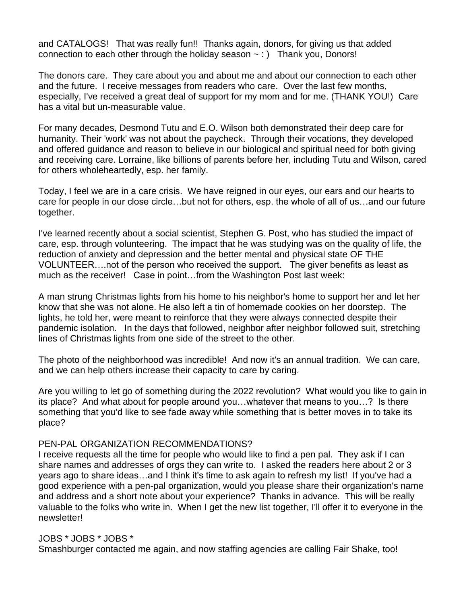and CATALOGS! That was really fun!! Thanks again, donors, for giving us that added connection to each other through the holiday season  $\sim$  : ) Thank you, Donors!

The donors care. They care about you and about me and about our connection to each other and the future. I receive messages from readers who care. Over the last few months, especially, I've received a great deal of support for my mom and for me. (THANK YOU!) Care has a vital but un-measurable value.

For many decades, Desmond Tutu and E.O. Wilson both demonstrated their deep care for humanity. Their 'work' was not about the paycheck. Through their vocations, they developed and offered guidance and reason to believe in our biological and spiritual need for both giving and receiving care. Lorraine, like billions of parents before her, including Tutu and Wilson, cared for others wholeheartedly, esp. her family.

Today, I feel we are in a care crisis. We have reigned in our eyes, our ears and our hearts to care for people in our close circle…but not for others, esp. the whole of all of us…and our future together.

I've learned recently about a social scientist, Stephen G. Post, who has studied the impact of care, esp. through volunteering. The impact that he was studying was on the quality of life, the reduction of anxiety and depression and the better mental and physical state OF THE VOLUNTEER….not of the person who received the support. The giver benefits as least as much as the receiver! Case in point…from the Washington Post last week:

A man strung Christmas lights from his home to his neighbor's home to support her and let her know that she was not alone. He also left a tin of homemade cookies on her doorstep. The lights, he told her, were meant to reinforce that they were always connected despite their pandemic isolation. In the days that followed, neighbor after neighbor followed suit, stretching lines of Christmas lights from one side of the street to the other.

The photo of the neighborhood was incredible! And now it's an annual tradition. We can care, and we can help others increase their capacity to care by caring.

Are you willing to let go of something during the 2022 revolution? What would you like to gain in its place? And what about for people around you…whatever that means to you…? Is there something that you'd like to see fade away while something that is better moves in to take its place?

## PEN-PAL ORGANIZATION RECOMMENDATIONS?

I receive requests all the time for people who would like to find a pen pal. They ask if I can share names and addresses of orgs they can write to. I asked the readers here about 2 or 3 years ago to share ideas…and I think it's time to ask again to refresh my list! If you've had a good experience with a pen-pal organization, would you please share their organization's name and address and a short note about your experience? Thanks in advance. This will be really valuable to the folks who write in. When I get the new list together, I'll offer it to everyone in the newsletter!

## JOBS \* JOBS \* JOBS \*

Smashburger contacted me again, and now staffing agencies are calling Fair Shake, too!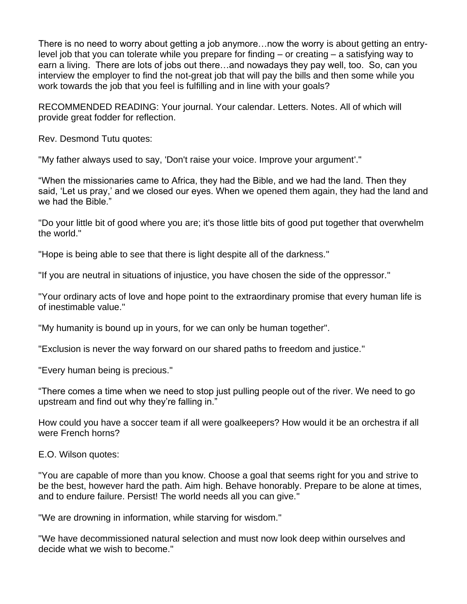There is no need to worry about getting a job anymore…now the worry is about getting an entrylevel job that you can tolerate while you prepare for finding – or creating – a satisfying way to earn a living. There are lots of jobs out there…and nowadays they pay well, too. So, can you interview the employer to find the not-great job that will pay the bills and then some while you work towards the job that you feel is fulfilling and in line with your goals?

RECOMMENDED READING: Your journal. Your calendar. Letters. Notes. All of which will provide great fodder for reflection.

Rev. Desmond Tutu quotes:

"My father always used to say, 'Don't raise your voice. Improve your argument'."

"When the missionaries came to Africa, they had the Bible, and we had the land. Then they said, 'Let us pray,' and we closed our eyes. When we opened them again, they had the land and we had the Bible."

"Do your little bit of good where you are; it's those little bits of good put together that overwhelm the world."

"Hope is being able to see that there is light despite all of the darkness."

"If you are neutral in situations of injustice, you have chosen the side of the oppressor."

"Your ordinary acts of love and hope point to the extraordinary promise that every human life is of inestimable value."

"My humanity is bound up in yours, for we can only be human together".

"Exclusion is never the way forward on our shared paths to freedom and justice."

"Every human being is precious."

"There comes a time when we need to stop just pulling people out of the river. We need to go upstream and find out why they're falling in."

How could you have a soccer team if all were goalkeepers? How would it be an orchestra if all were French horns?

E.O. Wilson quotes:

"You are capable of more than you know. Choose a goal that seems right for you and strive to be the best, however hard the path. Aim high. Behave honorably. Prepare to be alone at times, and to endure failure. Persist! The world needs all you can give."

"We are drowning in information, while starving for wisdom."

"We have decommissioned natural selection and must now look deep within ourselves and decide what we wish to become."